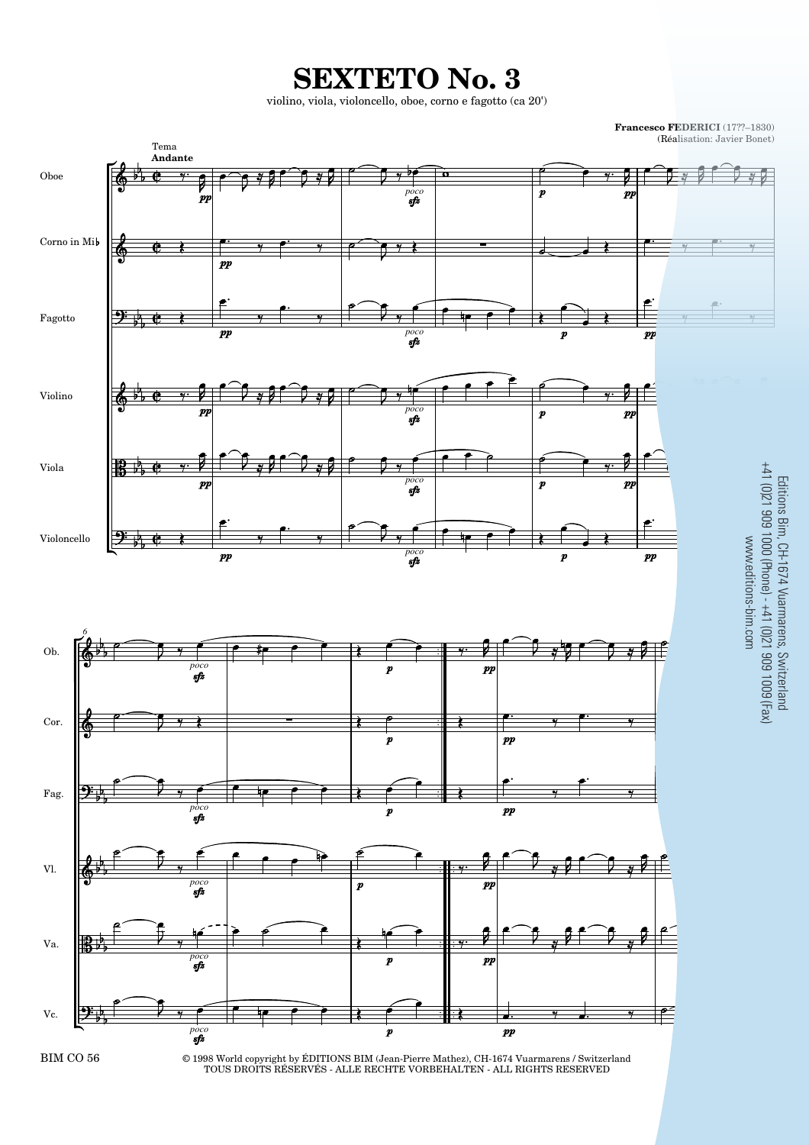**SEXTETO No. 3**

violino, viola, violoncello, oboe, corno e fagotto (ca 20')

**Francesco FEDERICI** (17??–1830) (Réalisation: Javier Bonet) Tema **Andante**  $\mathscr{A}$ g *poco*  $\boldsymbol{v}$  $\boldsymbol{p}$  $\boldsymbol{p}$ Corno in Mi  $\overline{p}$ Fagotto  $\boldsymbol{m}$  $\boldsymbol{p}$ *poco* Violino *poco*  $\boldsymbol{p}$  $\boldsymbol{m}$  $\mathbf{r}$ *poco*  $\overline{p}$  $\boldsymbol{p}$ яÍ Violoncello  $\boldsymbol{p}$ *poco*  $\boldsymbol{p}$ r



*poco poco*  $\equiv$ ₽



Vc.

Viola

Oboe

© 1998 World copyright by ÉDITIONS BIM (Jean-Pierre Mathez), CH-1674 Vuarmarens / Switzerland TOUS DROITS RÉSERVÉS - ALLE RECHTE VORBEHALTEN - ALL RIGHTS RESERVED

*poco poco*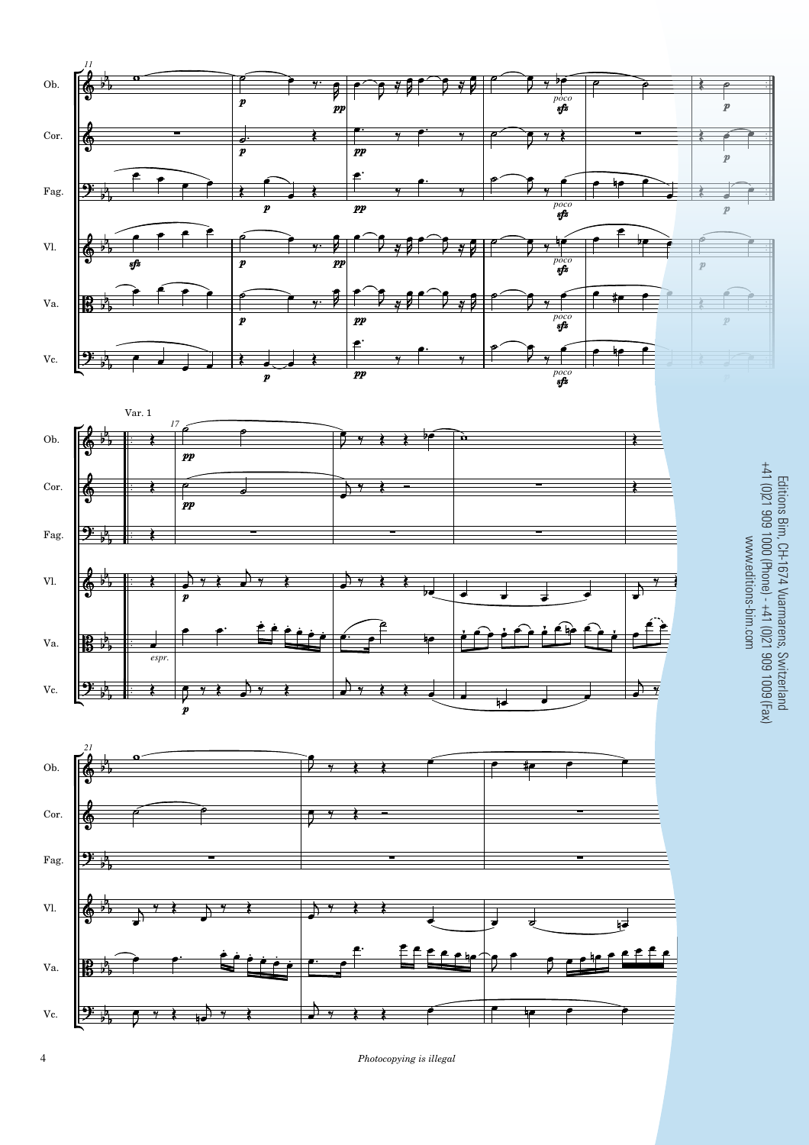





 $Photocopying$  is illegal

Editions Bim, CH-1674 Vuarmarens, Switzerland<br>+41 (0)21 909 1000 (Phone) - +41 (0)21 909 1009 (Fax) +41 (0)21 909 1000 (Phone) - +41 (0)21 909 1009 (Fax) Editions Bim, CH-1674 Vuarmarens, Switzerland www.editions-bim.com www.editions-bim.com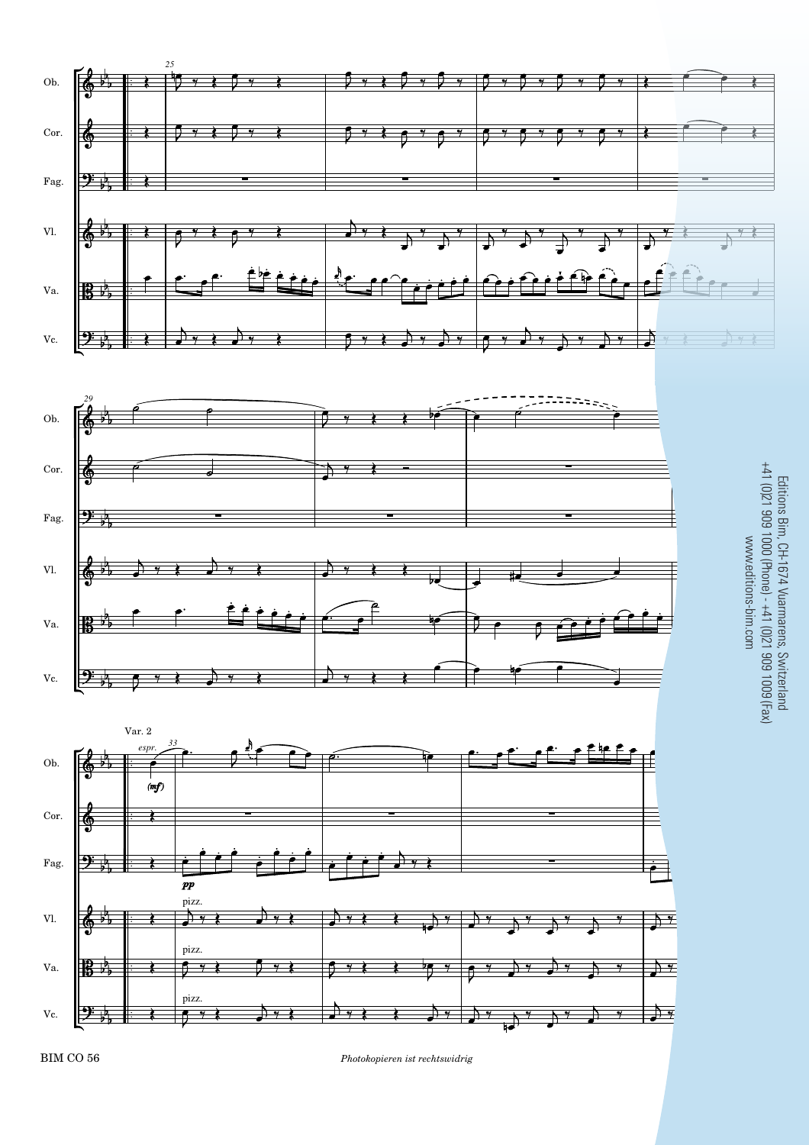

BIM CO 56 *Photokopieren ist rechtswidrig* 5

Editions Bim, CH-1674 Vuarmarens, Switzerland<br>+41 (0)21 909 1000 (Phone) - +41 (0)21 909 1009 (Fax) Editions Bim, CH-1674 Vuarmarens, Switzerland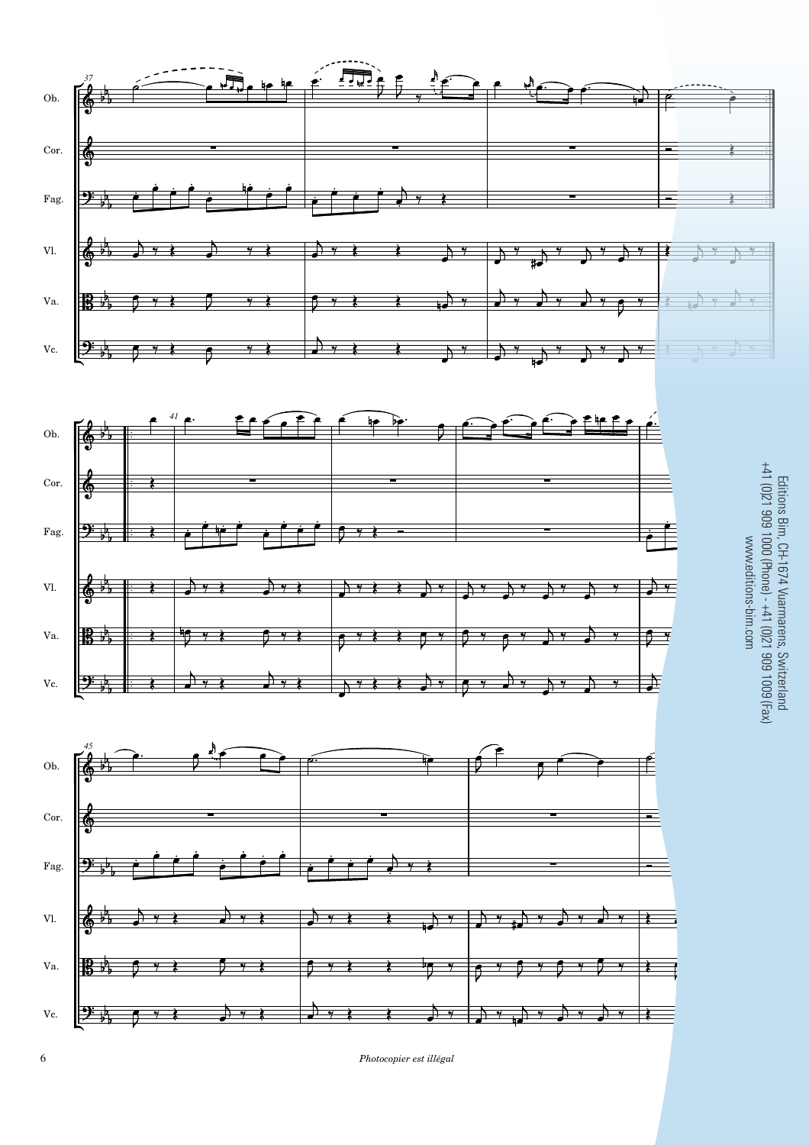

 $\epsilon$  *Photocopier est illégal*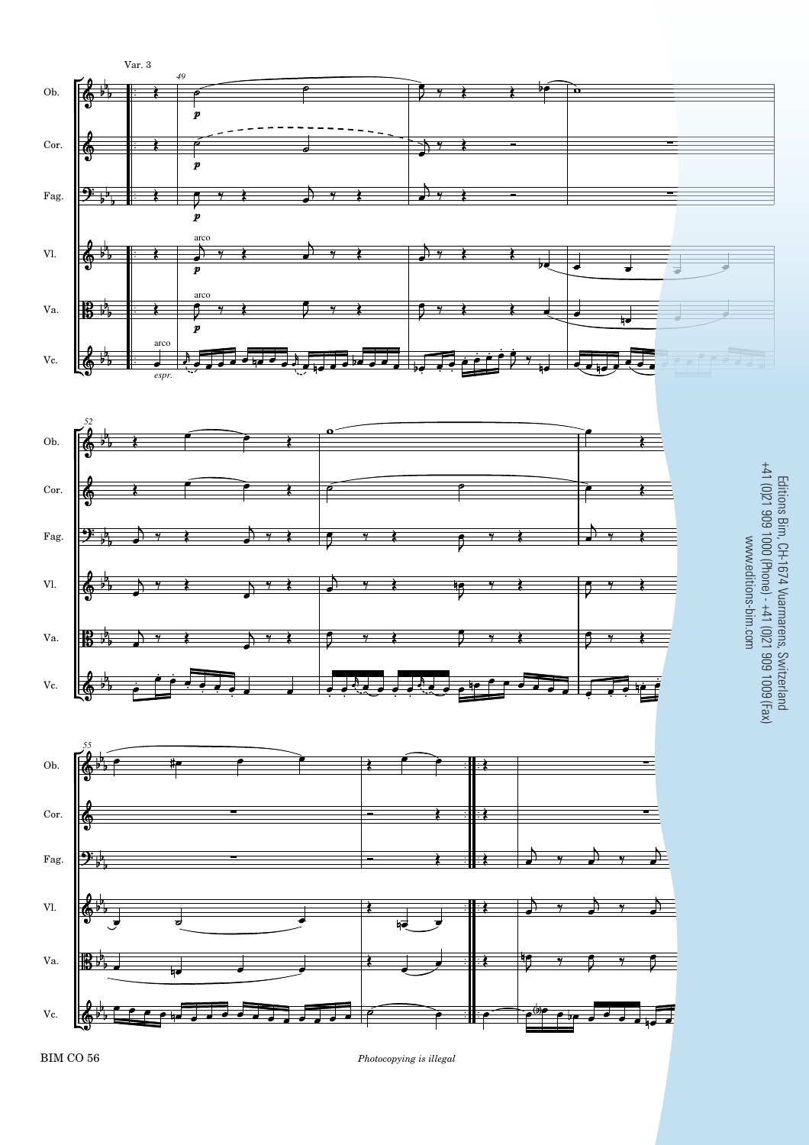

*Photocopying is illegal* 7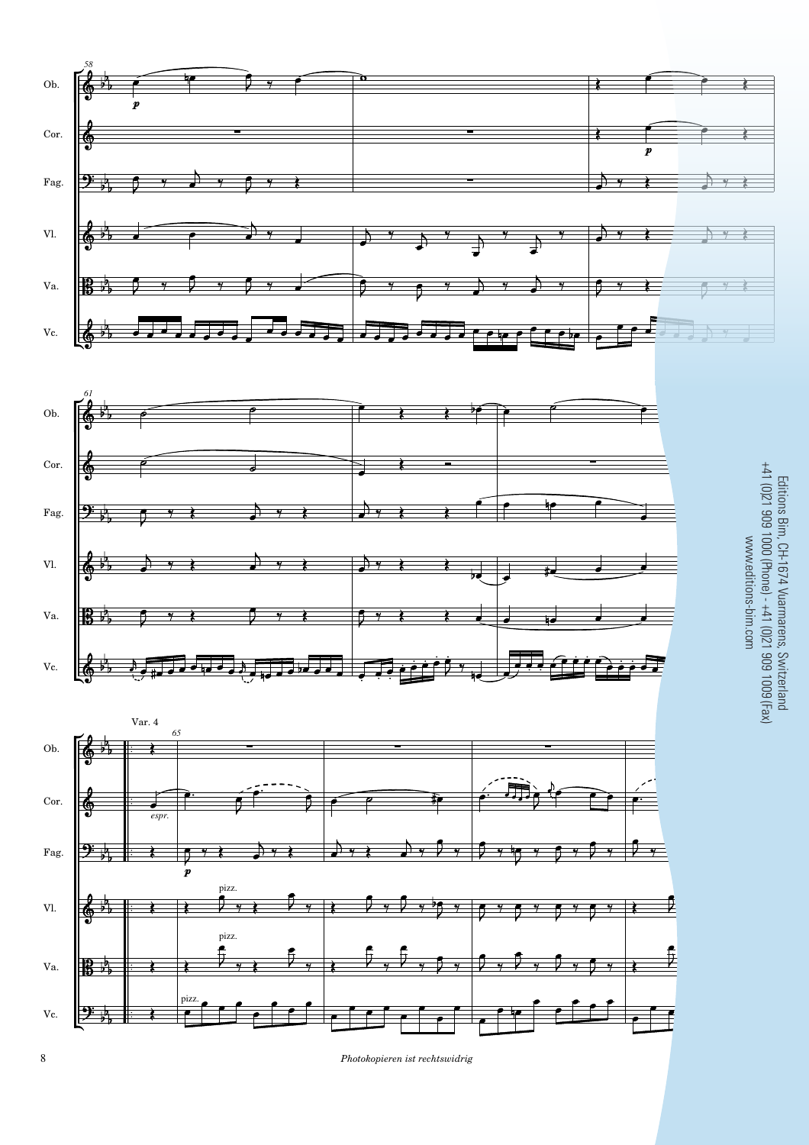

8 **Photokopieren ist rechtswidrig**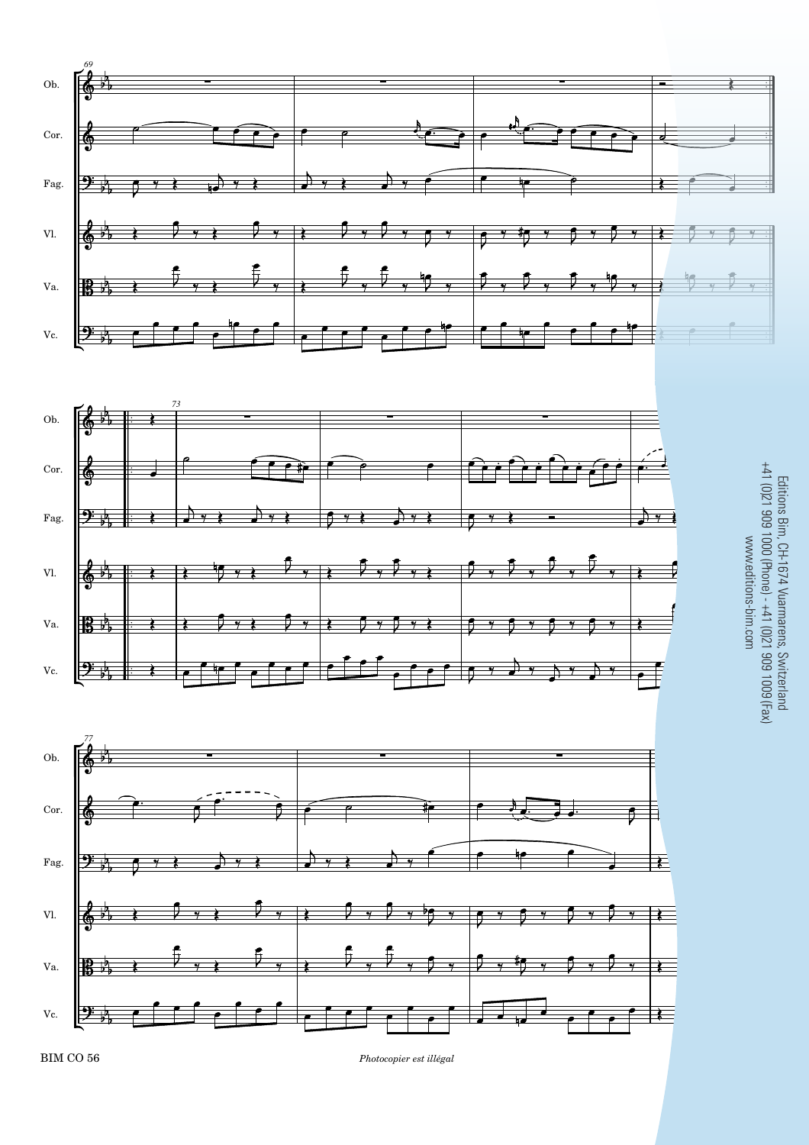